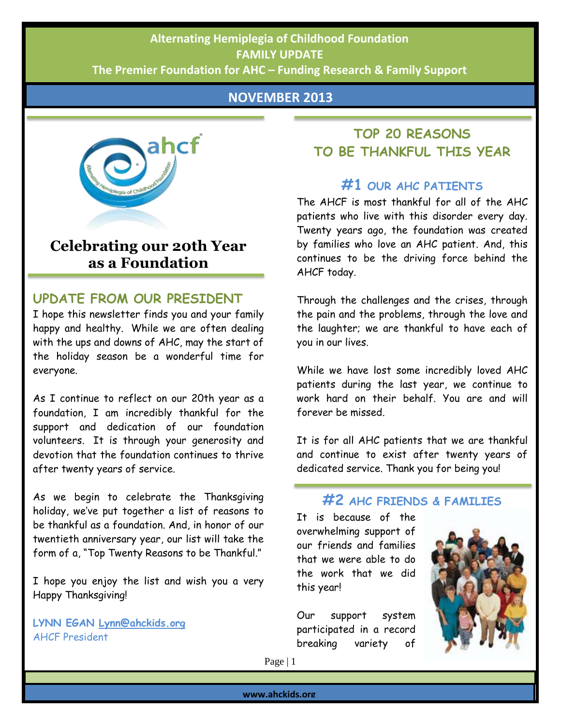## AHCF FAMILY NEWSLETTER– NOVEMBER 2013 **FAMILY UPDATE Alternating Hemiplegia of Childhood Foundation**

Actively Helping Children & Families with AHC **The Premier Foundation for AHC – Funding Research & Family Support**

#### **NOVEMBER 2013**



# **Celebrating our 20th Year as a Foundation**

### **UPDATE FROM OUR PRESIDENT**

I hope this newsletter finds you and your family happy and healthy. While we are often dealing with the ups and downs of AHC, may the start of the holiday season be a wonderful time for everyone.

As I continue to reflect on our 20th year as a foundation, I am incredibly thankful for the support and dedication of our foundation volunteers. It is through your generosity and devotion that the foundation continues to thrive after twenty years of service.

As we begin to celebrate the Thanksgiving holiday, we've put together a list of reasons to be thankful as a foundation. And, in honor of our twentieth anniversary year, our list will take the form of a, "Top Twenty Reasons to be Thankful."

I hope you enjoy the list and wish you a very Happy Thanksgiving!

**LYNN EGAN [Lynn@ahckids.org](mailto:Lynn@ahckids.org)** AHCF President

## **TOP 20 REASONS TO BE THANKFUL THIS YEAR**

### **#1 OUR AHC PATIENTS**

The AHCF is most thankful for all of the AHC patients who live with this disorder every day. Twenty years ago, the foundation was created by families who love an AHC patient. And, this continues to be the driving force behind the AHCF today.

Through the challenges and the crises, through the pain and the problems, through the love and the laughter; we are thankful to have each of you in our lives.

While we have lost some incredibly loved AHC patients during the last year, we continue to work hard on their behalf. You are and will forever be missed.

It is for all AHC patients that we are thankful and continue to exist after twenty years of dedicated service. Thank you for being you!

### **#2 AHC FRIENDS & FAMILIES**

It is because of the overwhelming support of our friends and families that we were able to do the work that we did this year!

Our support system participated in a record breaking variety of



Page | 1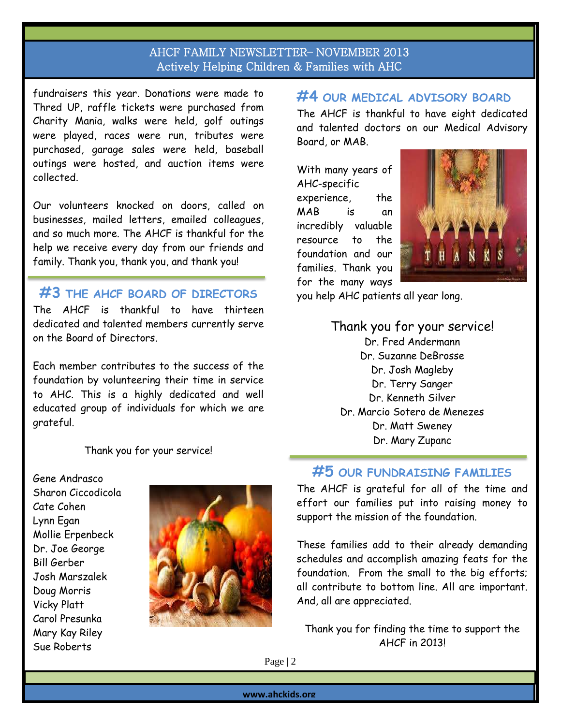fundraisers this year. Donations were made to Thred UP, raffle tickets were purchased from Charity Mania, walks were held, golf outings were played, races were run, tributes were purchased, garage sales were held, baseball outings were hosted, and auction items were collected.

Our volunteers knocked on doors, called on businesses, mailed letters, emailed colleagues, and so much more. The AHCF is thankful for the help we receive every day from our friends and family. Thank you, thank you, and thank you!

**#3 THE AHCF BOARD OF DIRECTORS**

The AHCF is thankful to have thirteen dedicated and talented members currently serve on the Board of Directors.

Each member contributes to the success of the foundation by volunteering their time in service to AHC. This is a highly dedicated and well educated group of individuals for which we are grateful.

Thank you for your service!

Gene Andrasco Sharon Ciccodicola Cate Cohen Lynn Egan Mollie Erpenbeck Dr. Joe George Bill Gerber Josh Marszalek Doug Morris Vicky Platt Carol Presunka Mary Kay Riley Sue Roberts



## **#4 OUR MEDICAL ADVISORY BOARD**

The AHCF is thankful to have eight dedicated and talented doctors on our Medical Advisory Board, or MAB.

With many years of AHC-specific experience, the MAB is an incredibly valuable resource to the foundation and our families. Thank you for the many ways



you help AHC patients all year long.

Thank you for your service! Dr. Fred Andermann Dr. Suzanne DeBrosse Dr. Josh Magleby Dr. Terry Sanger Dr. Kenneth Silver Dr. Marcio Sotero de Menezes Dr. Matt Sweney Dr. Mary Zupanc

# **#5 OUR FUNDRAISING FAMILIES**

The AHCF is grateful for all of the time and effort our families put into raising money to support the mission of the foundation.

These families add to their already demanding schedules and accomplish amazing feats for the foundation. From the small to the big efforts; all contribute to bottom line. All are important. And, all are appreciated.

Thank you for finding the time to support the AHCF in 2013!

Page | 2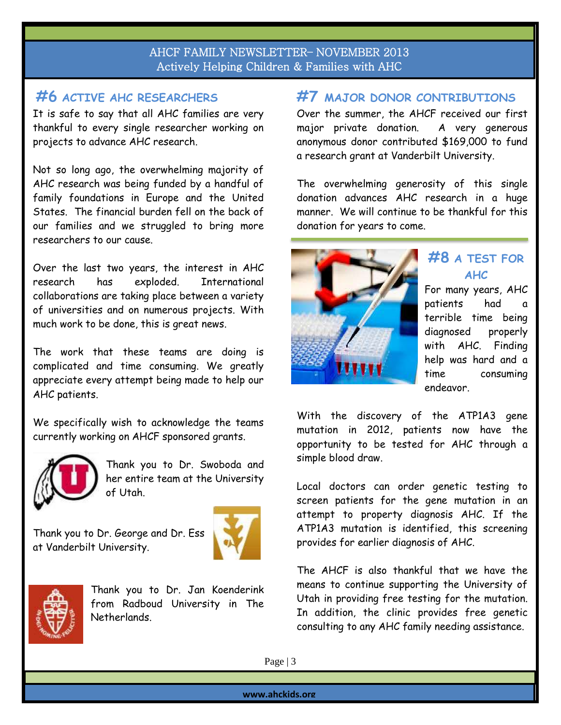# **#6 ACTIVE AHC RESEARCHERS**

It is safe to say that all AHC families are very thankful to every single researcher working on projects to advance AHC research.

Not so long ago, the overwhelming majority of AHC research was being funded by a handful of family foundations in Europe and the United States. The financial burden fell on the back of our families and we struggled to bring more researchers to our cause.

Over the last two years, the interest in AHC research has exploded. International collaborations are taking place between a variety of universities and on numerous projects. With much work to be done, this is great news.

The work that these teams are doing is complicated and time consuming. We greatly appreciate every attempt being made to help our AHC patients.

We specifically wish to acknowledge the teams currently working on AHCF sponsored grants.



Thank you to Dr. Swoboda and her entire team at the University of Utah.

Thank you to Dr. George and Dr. Ess at Vanderbilt University.





Thank you to Dr. Jan Koenderink from Radboud University in The Netherlands.

## **#7 MAJOR DONOR CONTRIBUTIONS**

Over the summer, the AHCF received our first major private donation. A very generous anonymous donor contributed \$169,000 to fund a research grant at Vanderbilt University.

The overwhelming generosity of this single donation advances AHC research in a huge manner. We will continue to be thankful for this donation for years to come.



# **#8 A TEST FOR AHC**

For many years, AHC patients had a terrible time being diagnosed properly with AHC. Finding help was hard and a time consuming endeavor.

With the discovery of the ATP1A3 gene mutation in 2012, patients now have the opportunity to be tested for AHC through a simple blood draw.

Local doctors can order genetic testing to screen patients for the gene mutation in an attempt to property diagnosis AHC. If the ATP1A3 mutation is identified, this screening provides for earlier diagnosis of AHC.

The AHCF is also thankful that we have the means to continue supporting the University of Utah in providing free testing for the mutation. In addition, the clinic provides free genetic consulting to any AHC family needing assistance.

Page | 3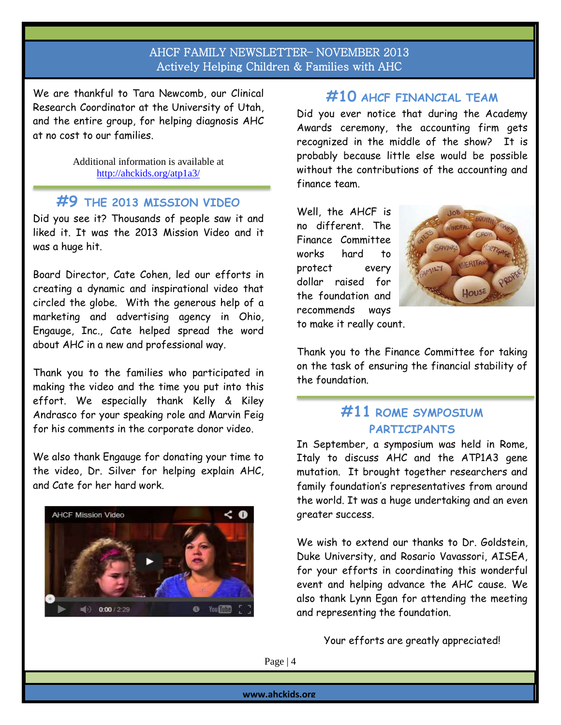We are thankful to Tara Newcomb, our Clinical Research Coordinator at the University of Utah, and the entire group, for helping diagnosis AHC at no cost to our families.

> Additional information is available at <http://ahckids.org/atp1a3/>

# **#9 THE 2013 MISSION VIDEO**

Did you see it? Thousands of people saw it and liked it. It was the 2013 Mission Video and it was a huge hit.

Board Director, Cate Cohen, led our efforts in creating a dynamic and inspirational video that circled the globe. With the generous help of a marketing and advertising agency in Ohio, Engauge, Inc., Cate helped spread the word about AHC in a new and professional way.

Thank you to the families who participated in making the video and the time you put into this effort. We especially thank Kelly & Kiley Andrasco for your speaking role and Marvin Feig for his comments in the corporate donor video.

We also thank Engauge for donating your time to the video, Dr. Silver for helping explain AHC, and Cate for her hard work.



### **#10 AHCF FINANCIAL TEAM**

Did you ever notice that during the Academy Awards ceremony, the accounting firm gets recognized in the middle of the show? It is probably because little else would be possible without the contributions of the accounting and finance team.

Well, the AHCF is no different. The Finance Committee works hard to protect every dollar raised for the foundation and recommends ways to make it really count.



Thank you to the Finance Committee for taking on the task of ensuring the financial stability of the foundation.

## **#11 ROME SYMPOSIUM PARTICIPANTS**

In September, a symposium was held in Rome, Italy to discuss AHC and the ATP1A3 gene mutation. It brought together researchers and family foundation's representatives from around the world. It was a huge undertaking and an even greater success.

We wish to extend our thanks to Dr. Goldstein, Duke University, and Rosario Vavassori, AISEA, for your efforts in coordinating this wonderful event and helping advance the AHC cause. We also thank Lynn Egan for attending the meeting and representing the foundation.

Your efforts are greatly appreciated!

Page | 4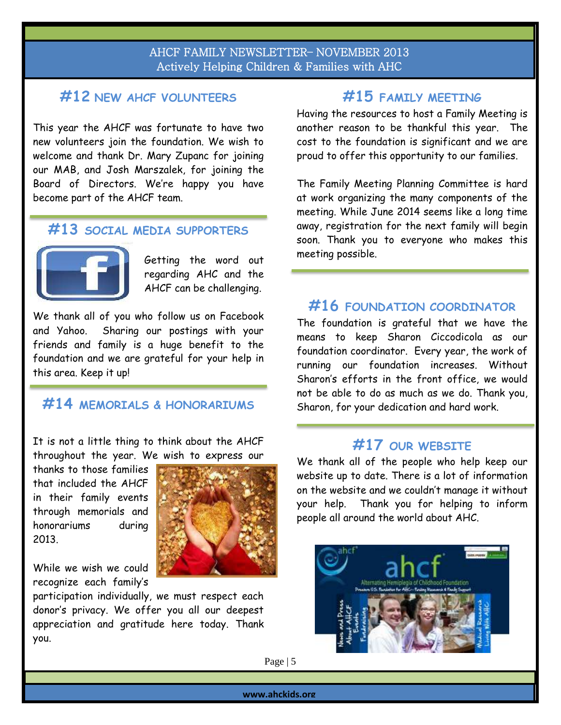### **#12 NEW AHCF VOLUNTEERS**

This year the AHCF was fortunate to have two new volunteers join the foundation. We wish to welcome and thank Dr. Mary Zupanc for joining our MAB, and Josh Marszalek, for joining the Board of Directors. We're happy you have become part of the AHCF team.

#### **#13 SOCIAL MEDIA SUPPORTERS**



L

Getting the word out regarding AHC and the AHCF can be challenging.

We thank all of you who follow us on Facebook and Yahoo. Sharing our postings with your friends and family is a huge benefit to the foundation and we are grateful for your help in this area. Keep it up!

### **#14 MEMORIALS & HONORARIUMS**

It is not a little thing to think about the AHCF throughout the year. We wish to express our

thanks to those families that included the AHCF in their family events through memorials and honorariums during 2013.

While we wish we could recognize each family's

participation individually, we must respect each donor's privacy. We offer you all our deepest appreciation and gratitude here today. Thank you.

## **#15 FAMILY MEETING**

Having the resources to host a Family Meeting is another reason to be thankful this year. The cost to the foundation is significant and we are proud to offer this opportunity to our families.

The Family Meeting Planning Committee is hard at work organizing the many components of the meeting. While June 2014 seems like a long time away, registration for the next family will begin soon. Thank you to everyone who makes this meeting possible.

### **#16 FOUNDATION COORDINATOR**

The foundation is grateful that we have the means to keep Sharon Ciccodicola as our foundation coordinator. Every year, the work of running our foundation increases. Without Sharon's efforts in the front office, we would not be able to do as much as we do. Thank you, Sharon, for your dedication and hard work.

## **#17 OUR WEBSITE**

We thank all of the people who help keep our website up to date. There is a lot of information on the website and we couldn't manage it without your help. Thank you for helping to inform people all around the world about AHC.



Page | 5